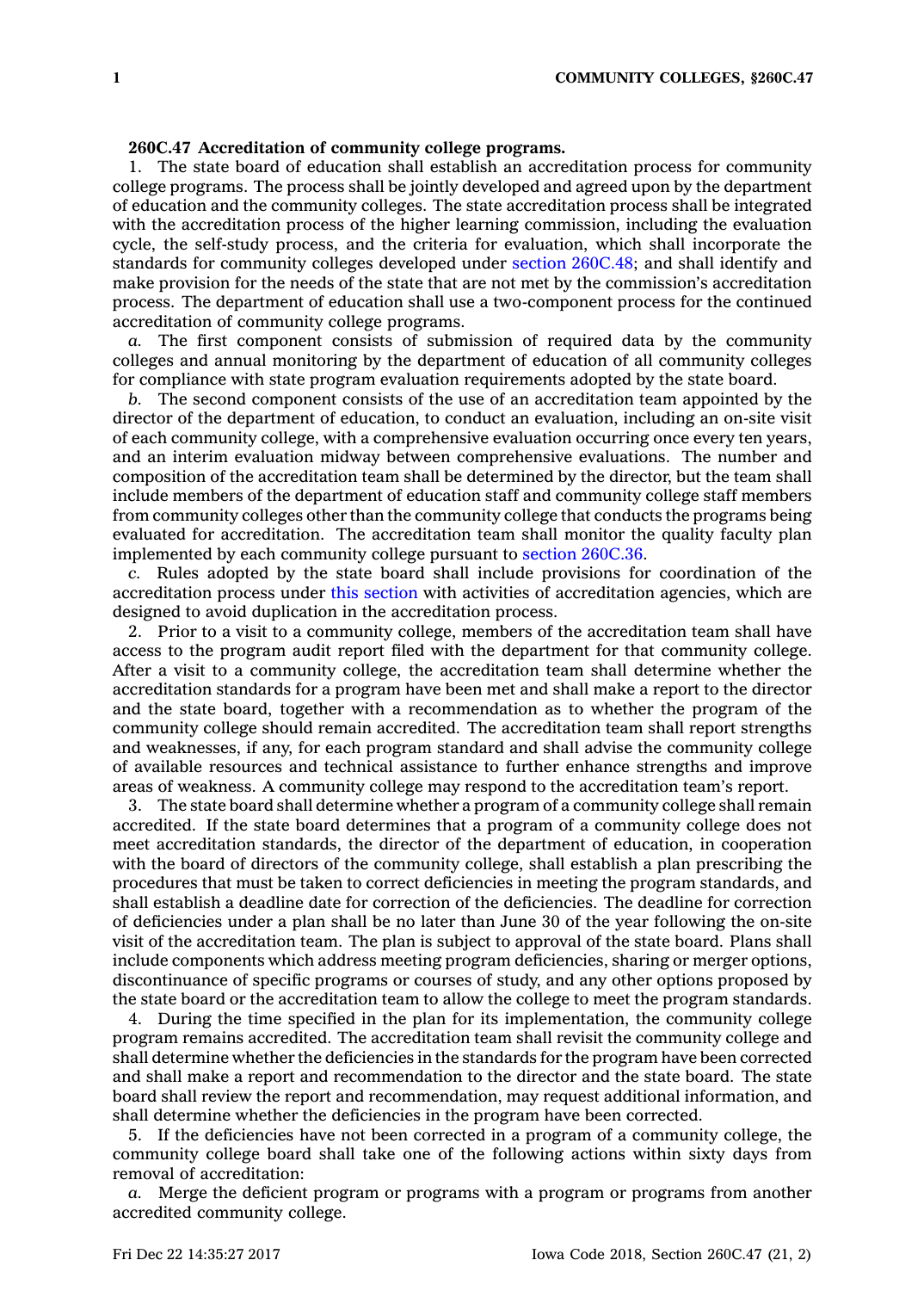## **260C.47 Accreditation of community college programs.**

1. The state board of education shall establish an accreditation process for community college programs. The process shall be jointly developed and agreed upon by the department of education and the community colleges. The state accreditation process shall be integrated with the accreditation process of the higher learning commission, including the evaluation cycle, the self-study process, and the criteria for evaluation, which shall incorporate the standards for community colleges developed under section [260C.48](https://www.legis.iowa.gov/docs/code/260C.48.pdf); and shall identify and make provision for the needs of the state that are not met by the commission's accreditation process. The department of education shall use <sup>a</sup> two-component process for the continued accreditation of community college programs.

*a.* The first component consists of submission of required data by the community colleges and annual monitoring by the department of education of all community colleges for compliance with state program evaluation requirements adopted by the state board.

*b.* The second component consists of the use of an accreditation team appointed by the director of the department of education, to conduct an evaluation, including an on-site visit of each community college, with <sup>a</sup> comprehensive evaluation occurring once every ten years, and an interim evaluation midway between comprehensive evaluations. The number and composition of the accreditation team shall be determined by the director, but the team shall include members of the department of education staff and community college staff members from community colleges other than the community college that conducts the programs being evaluated for accreditation. The accreditation team shall monitor the quality faculty plan implemented by each community college pursuant to section [260C.36](https://www.legis.iowa.gov/docs/code/260C.36.pdf).

*c.* Rules adopted by the state board shall include provisions for coordination of the accreditation process under this [section](https://www.legis.iowa.gov/docs/code/260C.47.pdf) with activities of accreditation agencies, which are designed to avoid duplication in the accreditation process.

2. Prior to <sup>a</sup> visit to <sup>a</sup> community college, members of the accreditation team shall have access to the program audit report filed with the department for that community college. After <sup>a</sup> visit to <sup>a</sup> community college, the accreditation team shall determine whether the accreditation standards for <sup>a</sup> program have been met and shall make <sup>a</sup> report to the director and the state board, together with <sup>a</sup> recommendation as to whether the program of the community college should remain accredited. The accreditation team shall report strengths and weaknesses, if any, for each program standard and shall advise the community college of available resources and technical assistance to further enhance strengths and improve areas of weakness. A community college may respond to the accreditation team's report.

3. The state board shall determine whether <sup>a</sup> program of <sup>a</sup> community college shall remain accredited. If the state board determines that <sup>a</sup> program of <sup>a</sup> community college does not meet accreditation standards, the director of the department of education, in cooperation with the board of directors of the community college, shall establish <sup>a</sup> plan prescribing the procedures that must be taken to correct deficiencies in meeting the program standards, and shall establish <sup>a</sup> deadline date for correction of the deficiencies. The deadline for correction of deficiencies under <sup>a</sup> plan shall be no later than June 30 of the year following the on-site visit of the accreditation team. The plan is subject to approval of the state board. Plans shall include components which address meeting program deficiencies, sharing or merger options, discontinuance of specific programs or courses of study, and any other options proposed by the state board or the accreditation team to allow the college to meet the program standards.

4. During the time specified in the plan for its implementation, the community college program remains accredited. The accreditation team shall revisit the community college and shall determine whether the deficiencies in the standards for the program have been corrected and shall make <sup>a</sup> report and recommendation to the director and the state board. The state board shall review the report and recommendation, may request additional information, and shall determine whether the deficiencies in the program have been corrected.

5. If the deficiencies have not been corrected in <sup>a</sup> program of <sup>a</sup> community college, the community college board shall take one of the following actions within sixty days from removal of accreditation:

*a.* Merge the deficient program or programs with <sup>a</sup> program or programs from another accredited community college.